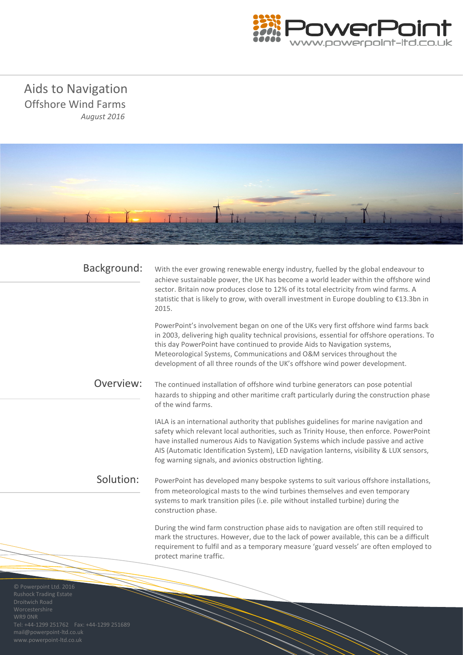

 Aids to Navigation Offshore Wind Farms *August 2016*



| Background:                                             | With the ever growing renewable energy industry, fuelled by the global endeavour to<br>achieve sustainable power, the UK has become a world leader within the offshore wind<br>sector. Britain now produces close to 12% of its total electricity from wind farms. A<br>statistic that is likely to grow, with overall investment in Europe doubling to €13.3bn in<br>2015.                                                       |
|---------------------------------------------------------|-----------------------------------------------------------------------------------------------------------------------------------------------------------------------------------------------------------------------------------------------------------------------------------------------------------------------------------------------------------------------------------------------------------------------------------|
|                                                         | PowerPoint's involvement began on one of the UKs very first offshore wind farms back<br>in 2003, delivering high quality technical provisions, essential for offshore operations. To<br>this day PowerPoint have continued to provide Aids to Navigation systems,<br>Meteorological Systems, Communications and O&M services throughout the<br>development of all three rounds of the UK's offshore wind power development.       |
| Overview:                                               | The continued installation of offshore wind turbine generators can pose potential<br>hazards to shipping and other maritime craft particularly during the construction phase<br>of the wind farms.                                                                                                                                                                                                                                |
|                                                         | IALA is an international authority that publishes guidelines for marine navigation and<br>safety which relevant local authorities, such as Trinity House, then enforce. PowerPoint<br>have installed numerous Aids to Navigation Systems which include passive and active<br>AIS (Automatic Identification System), LED navigation lanterns, visibility & LUX sensors,<br>fog warning signals, and avionics obstruction lighting. |
| Solution:                                               | PowerPoint has developed many bespoke systems to suit various offshore installations,<br>from meteorological masts to the wind turbines themselves and even temporary<br>systems to mark transition piles (i.e. pile without installed turbine) during the<br>construction phase.                                                                                                                                                 |
|                                                         | During the wind farm construction phase aids to navigation are often still required to<br>mark the structures. However, due to the lack of power available, this can be a difficult<br>requirement to fulfil and as a temporary measure 'guard vessels' are often employed to<br>protect marine traffic.                                                                                                                          |
| © Powerpoint Ltd. 2016<br><b>Rushock Trading Estate</b> |                                                                                                                                                                                                                                                                                                                                                                                                                                   |

mail@powerpoint-ltd.co.uk